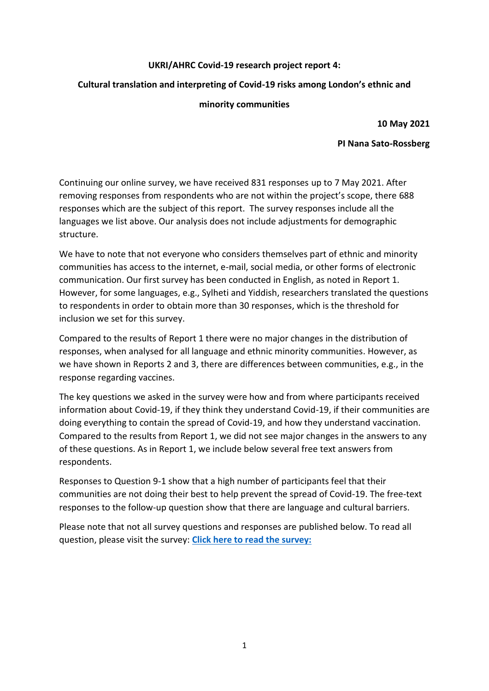# **UKRI/AHRC Covid-19 research project report 4:**

# **Cultural translation and interpreting of Covid-19 risks among London's ethnic and**

# **minority communities**

**10 May 2021**

# **PI Nana Sato-Rossberg**

Continuing our online survey, we have received 831 responses up to 7 May 2021. After removing responses from respondents who are not within the project's scope, there 688 responses which are the subject of this report. The survey responses include all the languages we list above. Our analysis does not include adjustments for demographic structure.

We have to note that not everyone who considers themselves part of ethnic and minority communities has access to the internet, e-mail, social media, or other forms of electronic communication. Our first survey has been conducted in English, as noted in Report 1. However, for some languages, e.g., Sylheti and Yiddish, researchers translated the questions to respondents in order to obtain more than 30 responses, which is the threshold for inclusion we set for this survey.

Compared to the results of Report 1 there were no major changes in the distribution of responses, when analysed for all language and ethnic minority communities. However, as we have shown in Reports 2 and 3, there are differences between communities, e.g., in the response regarding vaccines.

The key questions we asked in the survey were how and from where participants received information about Covid-19, if they think they understand Covid-19, if their communities are doing everything to contain the spread of Covid-19, and how they understand vaccination. Compared to the results from Report 1, we did not see major changes in the answers to any of these questions. As in Report 1, we include below several free text answers from respondents.

Responses to Question 9-1 show that a high number of participants feel that their communities are not doing their best to help prevent the spread of Covid-19. The free-text responses to the follow-up question show that there are language and cultural barriers.

Please note that not all survey questions and responses are published below. To read all question, please visit the survey: **[Click here to read the survey:](https://docs.google.com/forms/d/e/1FAIpQLSfAyndNVVMHtr7taiV4iISFxmJx9jQpjHdnuXoa5IIvgXRemQ/viewform)**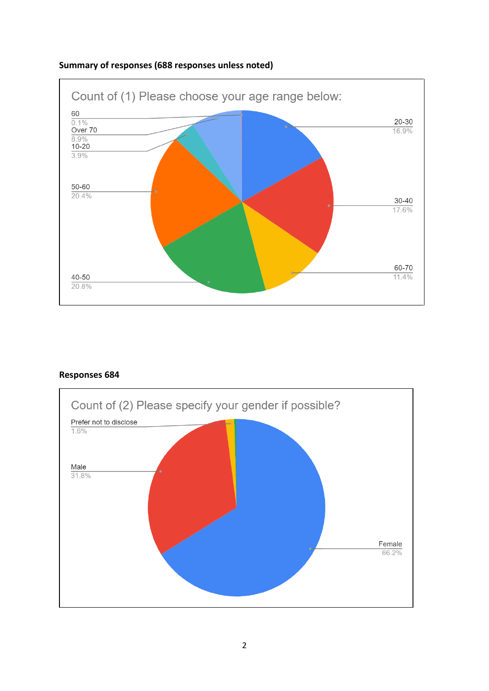

# **Summary of responses (688 responses unless noted)**

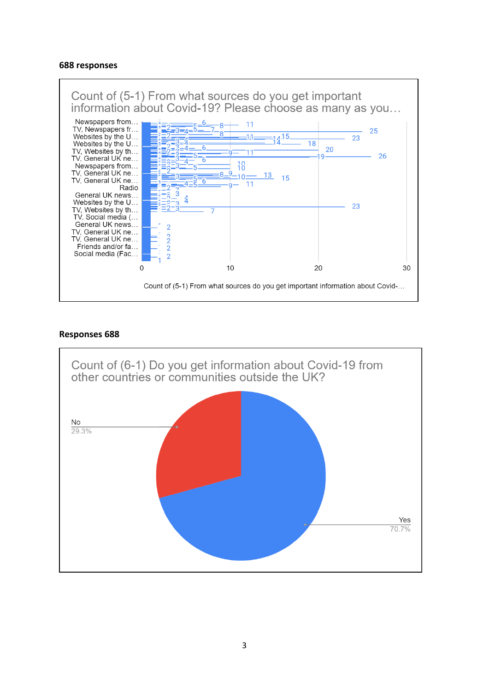#### **688 responses**



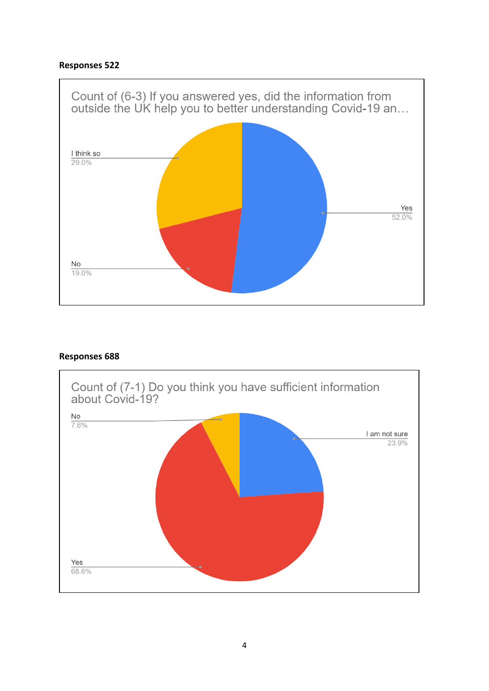

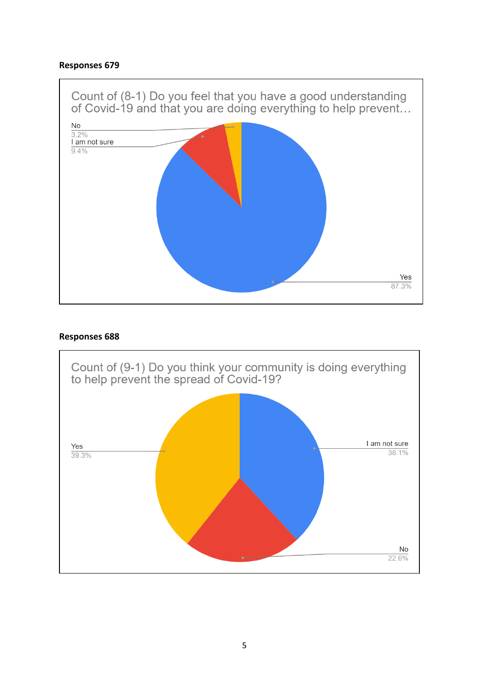

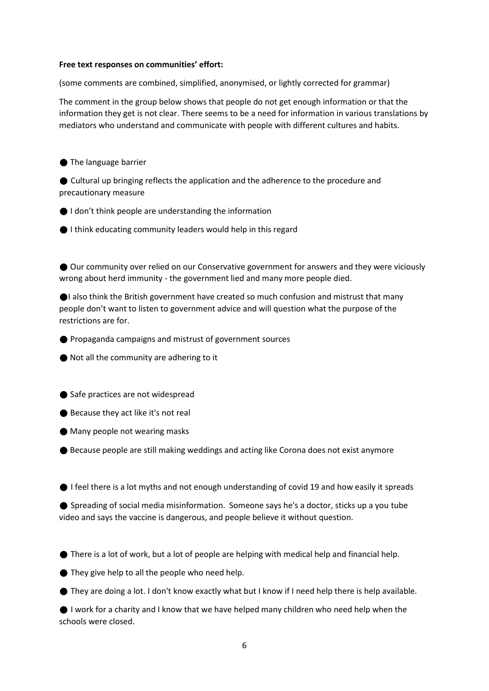#### **Free text responses on communities' effort:**

(some comments are combined, simplified, anonymised, or lightly corrected for grammar)

The comment in the group below shows that people do not get enough information or that the information they get is not clear. There seems to be a need for information in various translations by mediators who understand and communicate with people with different cultures and habits.

● The language barrier

● Cultural up bringing reflects the application and the adherence to the procedure and precautionary measure

● I don't think people are understanding the information

● I think educating community leaders would help in this regard

⚫ Our community over relied on our Conservative government for answers and they were viciously wrong about herd immunity - the government lied and many more people died.

●I also think the British government have created so much confusion and mistrust that many people don't want to listen to government advice and will question what the purpose of the restrictions are for.

⚫ Propaganda campaigns and mistrust of government sources

● Not all the community are adhering to it

● Safe practices are not widespread

● Because they act like it's not real

● Many people not wearing masks

● Because people are still making weddings and acting like Corona does not exist anymore

● I feel there is a lot myths and not enough understanding of covid 19 and how easily it spreads

● Spreading of social media misinformation. Someone says he's a doctor, sticks up a you tube video and says the vaccine is dangerous, and people believe it without question.

● There is a lot of work, but a lot of people are helping with medical help and financial help.

● They give help to all the people who need help.

● They are doing a lot. I don't know exactly what but I know if I need help there is help available.

● I work for a charity and I know that we have helped many children who need help when the schools were closed.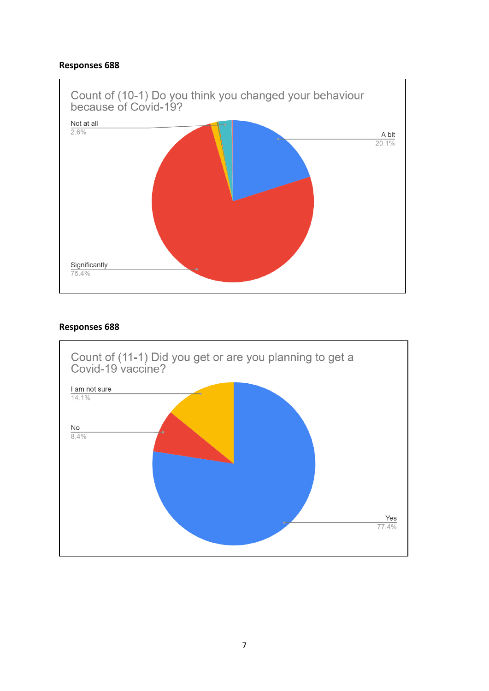